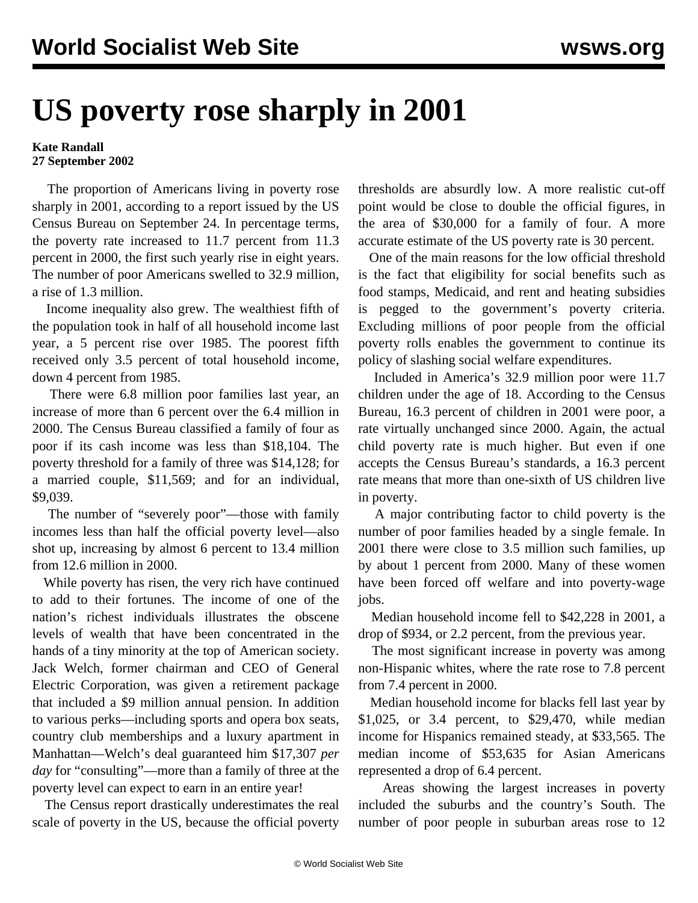## **US poverty rose sharply in 2001**

## **Kate Randall 27 September 2002**

 The proportion of Americans living in poverty rose sharply in 2001, according to a report issued by the US Census Bureau on September 24. In percentage terms, the poverty rate increased to 11.7 percent from 11.3 percent in 2000, the first such yearly rise in eight years. The number of poor Americans swelled to 32.9 million, a rise of 1.3 million.

 Income inequality also grew. The wealthiest fifth of the population took in half of all household income last year, a 5 percent rise over 1985. The poorest fifth received only 3.5 percent of total household income, down 4 percent from 1985.

 There were 6.8 million poor families last year, an increase of more than 6 percent over the 6.4 million in 2000. The Census Bureau classified a family of four as poor if its cash income was less than \$18,104. The poverty threshold for a family of three was \$14,128; for a married couple, \$11,569; and for an individual, \$9,039.

 The number of "severely poor"—those with family incomes less than half the official poverty level—also shot up, increasing by almost 6 percent to 13.4 million from 12.6 million in 2000.

 While poverty has risen, the very rich have continued to add to their fortunes. The income of one of the nation's richest individuals illustrates the obscene levels of wealth that have been concentrated in the hands of a tiny minority at the top of American society. Jack Welch, former chairman and CEO of General Electric Corporation, was given a retirement package that included a \$9 million annual pension. In addition to various perks—including sports and opera box seats, country club memberships and a luxury apartment in Manhattan—Welch's deal guaranteed him \$17,307 *per day* for "consulting"—more than a family of three at the poverty level can expect to earn in an entire year!

 The Census report drastically underestimates the real scale of poverty in the US, because the official poverty

thresholds are absurdly low. A more realistic cut-off point would be close to double the official figures, in the area of \$30,000 for a family of four. A more accurate estimate of the US poverty rate is 30 percent.

 One of the main reasons for the low official threshold is the fact that eligibility for social benefits such as food stamps, Medicaid, and rent and heating subsidies is pegged to the government's poverty criteria. Excluding millions of poor people from the official poverty rolls enables the government to continue its policy of slashing social welfare expenditures.

 Included in America's 32.9 million poor were 11.7 children under the age of 18. According to the Census Bureau, 16.3 percent of children in 2001 were poor, a rate virtually unchanged since 2000. Again, the actual child poverty rate is much higher. But even if one accepts the Census Bureau's standards, a 16.3 percent rate means that more than one-sixth of US children live in poverty.

 A major contributing factor to child poverty is the number of poor families headed by a single female. In 2001 there were close to 3.5 million such families, up by about 1 percent from 2000. Many of these women have been forced off welfare and into poverty-wage jobs.

 Median household income fell to \$42,228 in 2001, a drop of \$934, or 2.2 percent, from the previous year.

 The most significant increase in poverty was among non-Hispanic whites, where the rate rose to 7.8 percent from 7.4 percent in 2000.

 Median household income for blacks fell last year by \$1,025, or 3.4 percent, to \$29,470, while median income for Hispanics remained steady, at \$33,565. The median income of \$53,635 for Asian Americans represented a drop of 6.4 percent.

 Areas showing the largest increases in poverty included the suburbs and the country's South. The number of poor people in suburban areas rose to 12